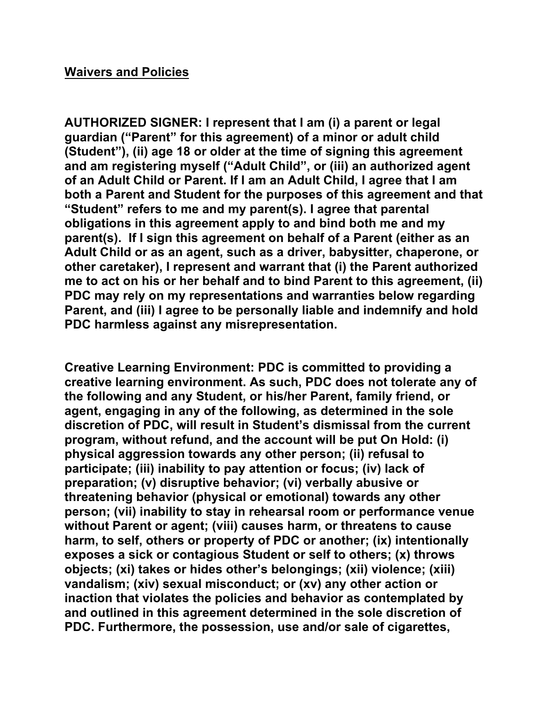### **Waivers and Policies**

**AUTHORIZED SIGNER: I represent that I am (i) a parent or legal guardian ("Parent" for this agreement) of a minor or adult child (Student"), (ii) age 18 or older at the time of signing this agreement and am registering myself ("Adult Child", or (iii) an authorized agent of an Adult Child or Parent. If I am an Adult Child, I agree that I am both a Parent and Student for the purposes of this agreement and that "Student" refers to me and my parent(s). I agree that parental obligations in this agreement apply to and bind both me and my parent(s). If I sign this agreement on behalf of a Parent (either as an Adult Child or as an agent, such as a driver, babysitter, chaperone, or other caretaker), I represent and warrant that (i) the Parent authorized me to act on his or her behalf and to bind Parent to this agreement, (ii) PDC may rely on my representations and warranties below regarding Parent, and (iii) I agree to be personally liable and indemnify and hold PDC harmless against any misrepresentation.**

**Creative Learning Environment: PDC is committed to providing a creative learning environment. As such, PDC does not tolerate any of the following and any Student, or his/her Parent, family friend, or agent, engaging in any of the following, as determined in the sole discretion of PDC, will result in Student's dismissal from the current program, without refund, and the account will be put On Hold: (i) physical aggression towards any other person; (ii) refusal to participate; (iii) inability to pay attention or focus; (iv) lack of preparation; (v) disruptive behavior; (vi) verbally abusive or threatening behavior (physical or emotional) towards any other person; (vii) inability to stay in rehearsal room or performance venue without Parent or agent; (viii) causes harm, or threatens to cause harm, to self, others or property of PDC or another; (ix) intentionally exposes a sick or contagious Student or self to others; (x) throws objects; (xi) takes or hides other's belongings; (xii) violence; (xiii) vandalism; (xiv) sexual misconduct; or (xv) any other action or inaction that violates the policies and behavior as contemplated by and outlined in this agreement determined in the sole discretion of PDC. Furthermore, the possession, use and/or sale of cigarettes,**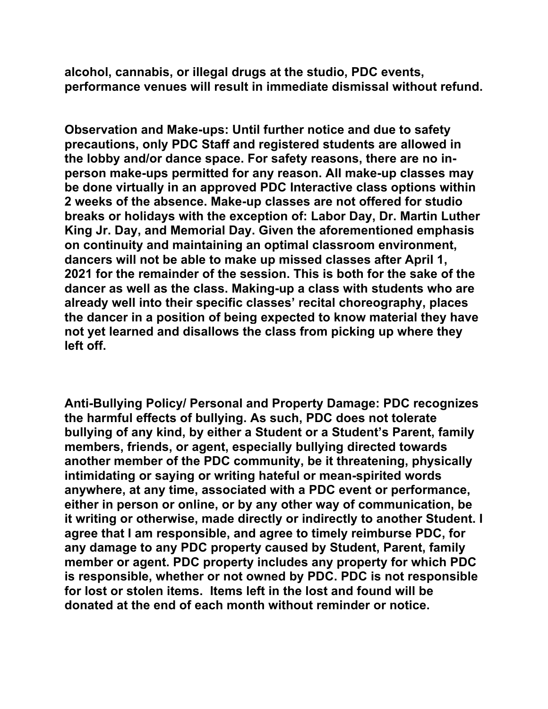**alcohol, cannabis, or illegal drugs at the studio, PDC events, performance venues will result in immediate dismissal without refund.**

**Observation and Make-ups: Until further notice and due to safety precautions, only PDC Staff and registered students are allowed in the lobby and/or dance space. For safety reasons, there are no inperson make-ups permitted for any reason. All make-up classes may be done virtually in an approved PDC Interactive class options within 2 weeks of the absence. Make-up classes are not offered for studio breaks or holidays with the exception of: Labor Day, Dr. Martin Luther King Jr. Day, and Memorial Day. Given the aforementioned emphasis on continuity and maintaining an optimal classroom environment, dancers will not be able to make up missed classes after April 1, 2021 for the remainder of the session. This is both for the sake of the dancer as well as the class. Making-up a class with students who are already well into their specific classes' recital choreography, places the dancer in a position of being expected to know material they have not yet learned and disallows the class from picking up where they left off.**

**Anti-Bullying Policy/ Personal and Property Damage: PDC recognizes the harmful effects of bullying. As such, PDC does not tolerate bullying of any kind, by either a Student or a Student's Parent, family members, friends, or agent, especially bullying directed towards another member of the PDC community, be it threatening, physically intimidating or saying or writing hateful or mean-spirited words anywhere, at any time, associated with a PDC event or performance, either in person or online, or by any other way of communication, be it writing or otherwise, made directly or indirectly to another Student. I agree that I am responsible, and agree to timely reimburse PDC, for any damage to any PDC property caused by Student, Parent, family member or agent. PDC property includes any property for which PDC is responsible, whether or not owned by PDC. PDC is not responsible for lost or stolen items. Items left in the lost and found will be donated at the end of each month without reminder or notice.**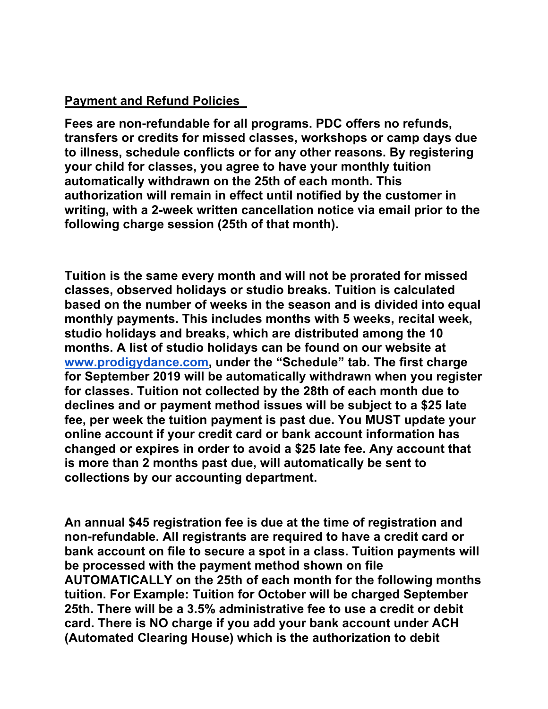## **Payment and Refund Policies**

**Fees are non-refundable for all programs. PDC offers no refunds, transfers or credits for missed classes, workshops or camp days due to illness, schedule conflicts or for any other reasons. By registering your child for classes, you agree to have your monthly tuition automatically withdrawn on the 25th of each month. This authorization will remain in effect until notified by the customer in writing, with a 2-week written cancellation notice via email prior to the following charge session (25th of that month).** 

**Tuition is the same every month and will not be prorated for missed classes, observed holidays or studio breaks. Tuition is calculated based on the number of weeks in the season and is divided into equal monthly payments. This includes months with 5 weeks, recital week, studio holidays and breaks, which are distributed among the 10 months. A list of studio holidays can be found on our website at www.prodigydance.com, under the "Schedule" tab. The first charge for September 2019 will be automatically withdrawn when you register for classes. Tuition not collected by the 28th of each month due to declines and or payment method issues will be subject to a \$25 late fee, per week the tuition payment is past due. You MUST update your online account if your credit card or bank account information has changed or expires in order to avoid a \$25 late fee. Any account that is more than 2 months past due, will automatically be sent to collections by our accounting department.**

**An annual \$45 registration fee is due at the time of registration and non-refundable. All registrants are required to have a credit card or bank account on file to secure a spot in a class. Tuition payments will be processed with the payment method shown on file AUTOMATICALLY on the 25th of each month for the following months tuition. For Example: Tuition for October will be charged September 25th. There will be a 3.5% administrative fee to use a credit or debit card. There is NO charge if you add your bank account under ACH (Automated Clearing House) which is the authorization to debit**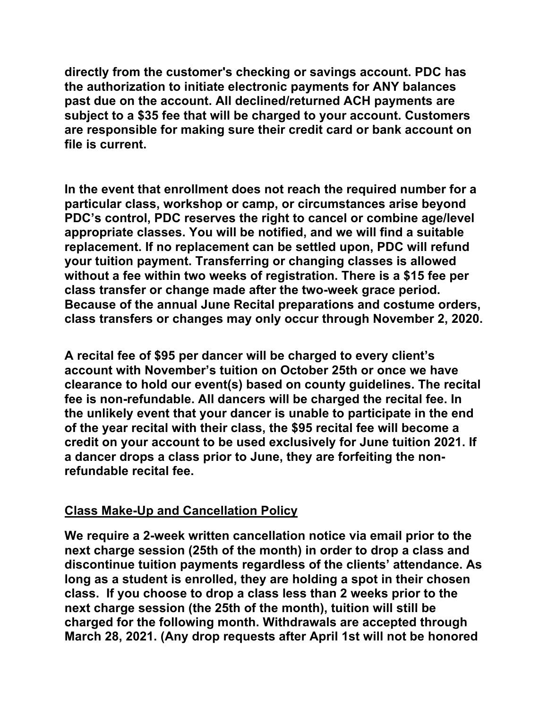**directly from the customer's checking or savings account. PDC has the authorization to initiate electronic payments for ANY balances past due on the account. All declined/returned ACH payments are subject to a \$35 fee that will be charged to your account. Customers are responsible for making sure their credit card or bank account on file is current.**

**In the event that enrollment does not reach the required number for a particular class, workshop or camp, or circumstances arise beyond PDC's control, PDC reserves the right to cancel or combine age/level appropriate classes. You will be notified, and we will find a suitable replacement. If no replacement can be settled upon, PDC will refund your tuition payment. Transferring or changing classes is allowed without a fee within two weeks of registration. There is a \$15 fee per class transfer or change made after the two-week grace period. Because of the annual June Recital preparations and costume orders, class transfers or changes may only occur through November 2, 2020.**

**A recital fee of \$95 per dancer will be charged to every client's account with November's tuition on October 25th or once we have clearance to hold our event(s) based on county guidelines. The recital fee is non-refundable. All dancers will be charged the recital fee. In the unlikely event that your dancer is unable to participate in the end of the year recital with their class, the \$95 recital fee will become a credit on your account to be used exclusively for June tuition 2021. If a dancer drops a class prior to June, they are forfeiting the nonrefundable recital fee.**

## **Class Make-Up and Cancellation Policy**

**We require a 2-week written cancellation notice via email prior to the next charge session (25th of the month) in order to drop a class and discontinue tuition payments regardless of the clients' attendance. As long as a student is enrolled, they are holding a spot in their chosen class. If you choose to drop a class less than 2 weeks prior to the next charge session (the 25th of the month), tuition will still be charged for the following month. Withdrawals are accepted through March 28, 2021. (Any drop requests after April 1st will not be honored**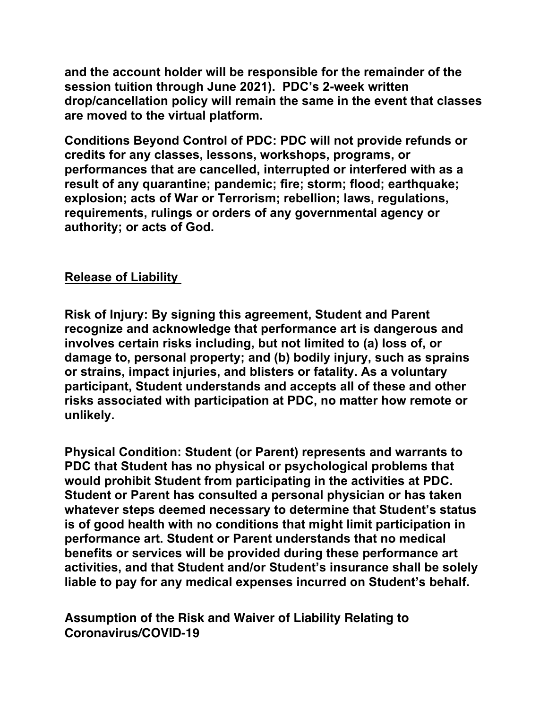**and the account holder will be responsible for the remainder of the session tuition through June 2021). PDC's 2-week written drop/cancellation policy will remain the same in the event that classes are moved to the virtual platform.**

**Conditions Beyond Control of PDC: PDC will not provide refunds or credits for any classes, lessons, workshops, programs, or performances that are cancelled, interrupted or interfered with as a result of any quarantine; pandemic; fire; storm; flood; earthquake; explosion; acts of War or Terrorism; rebellion; laws, regulations, requirements, rulings or orders of any governmental agency or authority; or acts of God.**

# **Release of Liability**

**Risk of Injury: By signing this agreement, Student and Parent recognize and acknowledge that performance art is dangerous and involves certain risks including, but not limited to (a) loss of, or damage to, personal property; and (b) bodily injury, such as sprains or strains, impact injuries, and blisters or fatality. As a voluntary participant, Student understands and accepts all of these and other risks associated with participation at PDC, no matter how remote or unlikely.**

**Physical Condition: Student (or Parent) represents and warrants to PDC that Student has no physical or psychological problems that would prohibit Student from participating in the activities at PDC. Student or Parent has consulted a personal physician or has taken whatever steps deemed necessary to determine that Student's status is of good health with no conditions that might limit participation in performance art. Student or Parent understands that no medical benefits or services will be provided during these performance art activities, and that Student and/or Student's insurance shall be solely liable to pay for any medical expenses incurred on Student's behalf.**

**Assumption of the Risk and Waiver of Liability Relating to Coronavirus/COVID-19**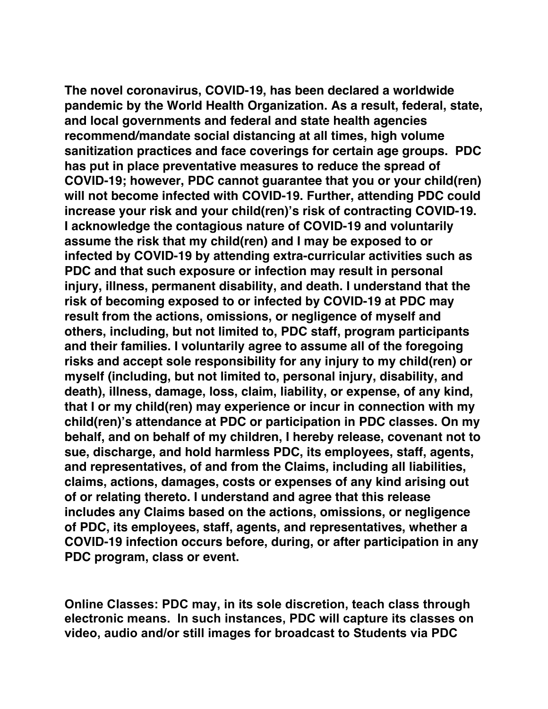**The novel coronavirus, COVID-19, has been declared a worldwide pandemic by the World Health Organization. As a result, federal, state, and local governments and federal and state health agencies recommend/mandate social distancing at all times, high volume sanitization practices and face coverings for certain age groups. PDC has put in place preventative measures to reduce the spread of COVID-19; however, PDC cannot guarantee that you or your child(ren) will not become infected with COVID-19. Further, attending PDC could increase your risk and your child(ren)'s risk of contracting COVID-19. I acknowledge the contagious nature of COVID-19 and voluntarily assume the risk that my child(ren) and I may be exposed to or infected by COVID-19 by attending extra-curricular activities such as PDC and that such exposure or infection may result in personal injury, illness, permanent disability, and death. I understand that the risk of becoming exposed to or infected by COVID-19 at PDC may result from the actions, omissions, or negligence of myself and others, including, but not limited to, PDC staff, program participants and their families. I voluntarily agree to assume all of the foregoing risks and accept sole responsibility for any injury to my child(ren) or myself (including, but not limited to, personal injury, disability, and death), illness, damage, loss, claim, liability, or expense, of any kind, that I or my child(ren) may experience or incur in connection with my child(ren)'s attendance at PDC or participation in PDC classes. On my behalf, and on behalf of my children, I hereby release, covenant not to sue, discharge, and hold harmless PDC, its employees, staff, agents, and representatives, of and from the Claims, including all liabilities, claims, actions, damages, costs or expenses of any kind arising out of or relating thereto. I understand and agree that this release includes any Claims based on the actions, omissions, or negligence of PDC, its employees, staff, agents, and representatives, whether a COVID-19 infection occurs before, during, or after participation in any PDC program, class or event.**

**Online Classes: PDC may, in its sole discretion, teach class through electronic means. In such instances, PDC will capture its classes on video, audio and/or still images for broadcast to Students via PDC**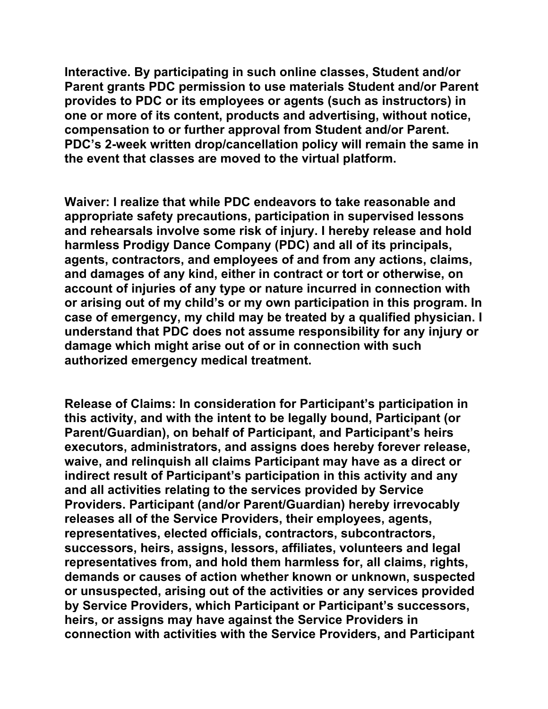**Interactive. By participating in such online classes, Student and/or Parent grants PDC permission to use materials Student and/or Parent provides to PDC or its employees or agents (such as instructors) in one or more of its content, products and advertising, without notice, compensation to or further approval from Student and/or Parent. PDC's 2-week written drop/cancellation policy will remain the same in the event that classes are moved to the virtual platform.**

**Waiver: I realize that while PDC endeavors to take reasonable and appropriate safety precautions, participation in supervised lessons and rehearsals involve some risk of injury. I hereby release and hold harmless Prodigy Dance Company (PDC) and all of its principals, agents, contractors, and employees of and from any actions, claims, and damages of any kind, either in contract or tort or otherwise, on account of injuries of any type or nature incurred in connection with or arising out of my child's or my own participation in this program. In case of emergency, my child may be treated by a qualified physician. I understand that PDC does not assume responsibility for any injury or damage which might arise out of or in connection with such authorized emergency medical treatment.**

**Release of Claims: In consideration for Participant's participation in this activity, and with the intent to be legally bound, Participant (or Parent/Guardian), on behalf of Participant, and Participant's heirs executors, administrators, and assigns does hereby forever release, waive, and relinquish all claims Participant may have as a direct or indirect result of Participant's participation in this activity and any and all activities relating to the services provided by Service Providers. Participant (and/or Parent/Guardian) hereby irrevocably releases all of the Service Providers, their employees, agents, representatives, elected officials, contractors, subcontractors, successors, heirs, assigns, lessors, affiliates, volunteers and legal representatives from, and hold them harmless for, all claims, rights, demands or causes of action whether known or unknown, suspected or unsuspected, arising out of the activities or any services provided by Service Providers, which Participant or Participant's successors, heirs, or assigns may have against the Service Providers in connection with activities with the Service Providers, and Participant**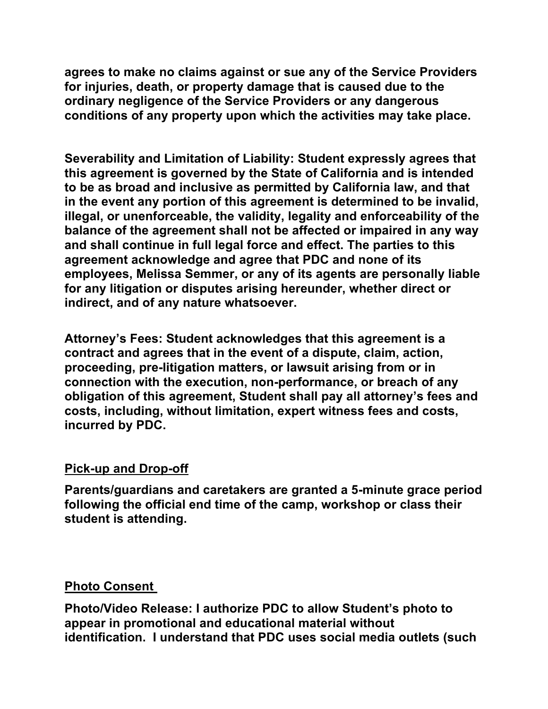**agrees to make no claims against or sue any of the Service Providers for injuries, death, or property damage that is caused due to the ordinary negligence of the Service Providers or any dangerous conditions of any property upon which the activities may take place.**

**Severability and Limitation of Liability: Student expressly agrees that this agreement is governed by the State of California and is intended to be as broad and inclusive as permitted by California law, and that in the event any portion of this agreement is determined to be invalid, illegal, or unenforceable, the validity, legality and enforceability of the balance of the agreement shall not be affected or impaired in any way and shall continue in full legal force and effect. The parties to this agreement acknowledge and agree that PDC and none of its employees, Melissa Semmer, or any of its agents are personally liable for any litigation or disputes arising hereunder, whether direct or indirect, and of any nature whatsoever.**

**Attorney's Fees: Student acknowledges that this agreement is a contract and agrees that in the event of a dispute, claim, action, proceeding, pre-litigation matters, or lawsuit arising from or in connection with the execution, non-performance, or breach of any obligation of this agreement, Student shall pay all attorney's fees and costs, including, without limitation, expert witness fees and costs, incurred by PDC.**

## **Pick-up and Drop-off**

**Parents/guardians and caretakers are granted a 5-minute grace period following the official end time of the camp, workshop or class their student is attending.** 

## **Photo Consent**

**Photo/Video Release: I authorize PDC to allow Student's photo to appear in promotional and educational material without identification. I understand that PDC uses social media outlets (such**